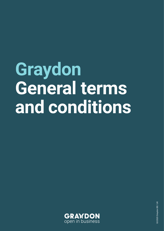# **Graydon General terms and conditions**

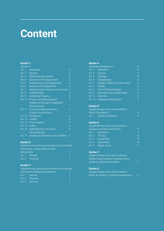# **Content**

# **Section 1:**

| General 4         |                                       |   |
|-------------------|---------------------------------------|---|
| Art. 1            | <b>Definitions</b>                    | З |
| Art. $2$          | General                               | 3 |
| Art. $3$          | Offers and price quotes               | 3 |
| Art. 4            | <b>Execution of the Agreement</b>     | 3 |
| Art. 5            | Modifications to the Agreement        | 4 |
| Ar.t $6$          | Duration of the Agreement             | 4 |
| Art. 7            | Payment and contractual interest rate | 4 |
| Art. 8            | Confidentiality                       | 4 |
| Art.9             | <b>Intellectual Property</b>          | 5 |
| Art. 10           | Privacy and data protection:          | 5 |
|                   | Graydon as the party responsible      |   |
|                   | for processing                        |   |
| Art. 11           | Privacy and data protection:          | 5 |
|                   | Graydon as processor                  |   |
| Art. 12           | Complaints                            | 6 |
| Art. 13           | Liability                             | 6 |
| Art. 14           | Force majeure                         | 6 |
| Art. 15           | <b>Nullity</b>                        | 6 |
| Art. 16           | Applicable law and courts             | 6 |
|                   | with jurisdiction                     |   |
| Art. 17           | Changes to the terms and conditions   | 7 |
|                   |                                       |   |
| <b>Section 2:</b> |                                       |   |

|             | <b>Supplementary terms and conditions: Commercial</b> |  |
|-------------|-------------------------------------------------------|--|
|             | Information - Subscription to Work                    |  |
| Units (WUs) |                                                       |  |
|             | Art. 1 General                                        |  |
|             | Art. 2 Invoicing                                      |  |
|             |                                                       |  |

# **Section 3:**

Supplementary terms and conditions: Commercial Information fixed-price Agreement 7

| Art. 1 General   |   |
|------------------|---|
| Art. 2 Invoicing |   |
| Art. 3 Fair Use  | 7 |

# **Section 4:**

|          | Database Management             | 8 |
|----------|---------------------------------|---|
| Art. 1   | <b>Definitions</b>              | 8 |
| Art. $2$ | General                         | 8 |
| Art. 3   | Wastage                         | 8 |
| Art. 4   | Deduplication                   | 8 |
| Art. 5   | Supply of Marketing Information | 8 |
| Art. 6   | Liability                       | 8 |
| Art. 7   | "Don't-Call-Me Register"        | 9 |
| Art. 8   | Discretion and confidentiality  | 9 |
| Art. 9   | Invoicing                       | 9 |
| Art. 10  | Database Management             | 9 |
|          |                                 |   |

# **Section 5:**

| Supplementary terms and conditions: |   |
|-------------------------------------|---|
| Risk & Compliance                   |   |
| Art. 1 Risk & Compliance            | 9 |

# **Section 6:**

| Supplementary terms and conditions: |              |
|-------------------------------------|--------------|
| Graydon Learning Centre (GLC)       | g            |
| Art. 1 Definitions                  | $\mathsf{Q}$ |
|                                     | 10           |
| Guarantees                          | 10           |
| Registration                        | 10           |
| Rights of use                       | 11           |
|                                     |              |

# **Section 7:**

| Supplementary terms and conditions:   |    |
|---------------------------------------|----|
| Multiscoring Screening/ Payment Score |    |
| Screening/Business Analyser           | 11 |

# **Section 8:**

Supplementary terms and conditions: Barter for delivery of payment experiences 11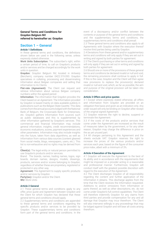# **General Terms and Conditions for Graydon Belgium NV referred to hereinafter as: Graydon**

# **Section 1 – General**

# **Article 1 Definitions**

In these general terms and conditions, the definitions shown below are used in the following sense, unless expressly stated otherwise.

**Work Units Subscription:** The subscriber's right, within a certain period of time, to call on Graydon's products and/or services and be charged accordingly for the work units in question.

**Graydon:** Graydon Belgium NV, located in Antwerp (Berchem), company number 0422.319.093. Graydon specialises in collating, processing and disseminating Information about Belgian companies and selling that information to its Clients.

Flat-rate (Agreement): The Client can request and retrieve Information about various Belgian company numbers within the agreed period.

**Information:** The information that Graydon provides the Client based on an Agreement. The Information provided by Graydon is based mainly on data available publicly in publications such as the Belgian State Gazette. This data comes from the annual accounts lodged with the National Bank of Belgium, the Crossroads Bank for Enterprises, etc. Graydon gathers Information from sources such as public databases and this is supplemented by other information gathered by Graydon's services. This commercial and financial Information may include general information, insights, credit recommendations, economic evaluations, scores, payment experiences and other parameters. Information may also include insights into the future, taken from data algorithms, as well as Information from various data sources (content gleaned from social media, blogs, newspapers, users, etc.). This list is non-exhaustive and no rights may be derived from it.

**Client(s):** The legal entity or natural person permitted to use Graydon's products and/or services.

Brand: The brands, names, trading names, logos, sign boards, domain names, designs, models, drawings, products, services and/or scores belonging to Graydon, regardless of whether these are proprietary, registered or protected in any other way

**Agreement:** The Agreement to supply specific products and/or services by Graydon.

**Party(ies):** Graydon and/or the Client. **WU:** Work Units

# **Article 2 General**

2.1 These general terms and conditions apply to any offer, price quote and Agreement between Graydon and the Client for which Graydon has declared that these general terms and conditions should apply.

2.2 Supplementary terms and conditions are appended to these general terms and conditions regarding the specific products and/or services to be provided by Graydon. These supplementary terms and conditions form part of the general terms and conditions. In the

event of a discrepancy and/or conflict between the contents or purpose of the general terms and conditions and the supplementary terms and conditions, the supplementary terms and conditions shall prevail.

2.3 These general terms and conditions also apply to all Agreements with Graydon where the execution thereof involve third parties being used by Graydon.

2.4 Deviations from these general and/or supplementary terms and conditions will only apply if they are set out in writing and signed by both parties for agreement.

2.5 The Client's purchasing or other terms and conditions will only apply if they are set out in writing and signed by both parties for agreement.

2.6 Should one or more of the provisions of these general terms and conditions be declared invalid or null and void, the remaining provisions shall continue to apply in full. If this is the case, Graydon and the Client will then agree new provisions to replace the provision(s) declared invalid or null and void, which, as far as possible, the aim and purpose of the original provision will be taken into consideration.

# **Article 3 Offers and price quotes**

3.1 Except where expressly stated otherwise, all offers and information from Graydon are provided on an obligation-free basis and given as an indication only. Any order issued will only be binding on Graydon after receipt of the original signed Agreement.

3.2 Graydon reserves the right to decline, suspend or terminate the Agreement.

3.3 If the costs of the products and/or services that come under the Agreement are increased as the result of measures taken by the government, or for any other reason, Graydon may charge the difference in price on the as yet unused part.

3.4 All charges pertaining to this Agreement and the sheets exclude VAT. Graydon reserves the right to increase the prices of the various products and/or services each year, based on the figure of the consumer price index, albeit with a minimum of 3%.

# **Article 4 Execution of the Agreement**

4.1 Graydon will execute the Agreement to the best of its ability and in accordance with the requirements that might be imposed on a provider acting in a reasonable and professional manner. Furthermore, Graydon will conduct itself with the greatest possible discretion with regard to the execution of the Agreement.

4.2 The Client discharges Graydon of all responsibility regarding the content and further application of the Information it obtains. This discharge applies from the time that the Client receives the Information requested. Additions to and/or omissions from Information or parts thereof, as well as other descriptions, etc. do not come under Graydon's full control capabilities. The Client will therefore indemnify Graydon for any claims from third parties and provide compensation for any and all damage that Graydon may incur therefrom. The Client will also intervene willingly in any proceedings that may be lodged against Graydon and will bear all costs arising therefrom.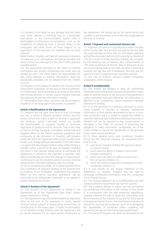4.3 Graydon is not liable for any damage that the Client may suffer directly or indirectly due to a temporary interruption to the communication system that is attributable to unforeseen circumstances, such as the breakdown of telephone lines, a serious defect in the computers and other forms of force majeure or on application of the provision for hardship next to force majeure.

Nevertheless, Graydon will take all necessary measures to make any such interruptions as brief as possible and hence to limit any damage for the Client to the greatest possible extent.

4.4 The passwords allocated to the Client to retrieve Information are strictly confidential and must also be treated as such. The Client bears full responsibility for this. Every attempt to retrieve Information using the passwords allocated will be debited from the Client's account.

4.5 Graydon is not obliged to disclose the sources of the Information it provides, nor the way in which it operates. 4.6 Information will be provided at all times to the extent that the law permits. In certain cases, Graydon reserves the right only to provide Information verbally.

4.7 Information from other countries will be provided in English or in the language of the country in question.

# **Article 5 Modifications to the Agreement**

5.1 Graydon has the right, from time to time, to change the way in which it delivers products and/or services (and in which the Client is able to receive or approach the products and/or services) and/or to modify the functionalities or suspend, modify or terminate segments of products and/or services. Only in the case of such a change having an immediate, substantial and negative effect on the Client's business operations, and exclusively at the discretion of Graydon, will Graydon notify the Client by registered letter six (6) months prior to any such change being implemented. If the Client does not agree with the change notified, either of the Parties is entitled, within a period of 30 days of Graydon notifying the Client in the manner stated above, to terminate the Agreement in writing for the segment in question, with effect from the day on which the change is implemented. Continuing to use the products and/or services shall be tantamount to the Client agreeing with the change.

5.2 As an exception to article 16 of these general terms and conditions, all disputes relating to the assessment by Graydon of 'an immediate, substantial and negative effect on the Client's business operations' will be submitted to an independent specialist to be agreed in greater detail by the Parties.

#### **Article 6 Duration of the Agreement**

6.1 The duration of the Agreement is stated in the Agreement, as of the "Agreement Start Date", unless stated otherwise in writing.

6.2 The Agreement may only be terminated by registered letter at the end of the expressly or tacitly agreed contract period, subject to notice being served three (3) months prior to the expiry date. If notice of termination is not served in timely fashion, then the Agreement will be tacitly renewed for an equal period. Extensions to

the Agreement will always be on the same terms and conditions and provisions, and at the rates applicable at the time of renewal.

#### **Article 7 Payment and contractual interest rate**

7.1 Payment of invoices must take place within 30 days of the invoice date. Any amount not paid by the due date will automatically become due for immediate payment and will be increased, without prior warning, by interest of 12% per annum or if the statutory interest rate is higher, by the statutory rate of interest, plus compensation of 15%, with a minimum of 62 EUR. Also, in the event of any one invoice going past its due date, all other outstanding invoices not yet due will immediately become due for payment, even if a payment plan has been granted. 7.2 The use of Graydon services implies immediate acceptance of the invoices.

#### **Artikel 8 Confidentiality**

8.1 The Parties are obliged to keep all confidential information secret that they may have obtained from each other or another source in the context of the Agreement, unless expressly indicated otherwise. All information is deemed to be confidential, unless expressly indicated otherwise in writing.

8.2 If on the grounds of a statutory provision or court ruling Graydon is required to disclose confidential information to third parties designated by law or a court with jurisdiction and it is unable to appeal the matter to claim the statutory right to decline to disclose information, Graydon will not be required to pay compensation or damages to the Client on account of breaching the obligation to keep information confidential, nor is the Client entitled to cancel the Agreement on the grounds of any claim arising therefrom.

8.3 In these general terms and conditions, Graydon Group has the following meaning: all companies, from time to time,

- 1) over which Graydon Holding NV exercises direct or indirect control,
- 2) which exercise direct or indirect control over Graydon Holding NV,
- 3) which exercise direct or indirect control over the companies stated in 2),
- 4) which are sister companies or subsidiaries of the companies stated in 2).

8.4 If and insofar as the proper fulfilment of the Agreement so requires, Graydon has the right to exchange confidential information with the companies in the Graydon Group.

8.5 The mutual obligation as to confidentiality will also continue after the Agreement has come to an end.

8.6 The (contact) details of clients are not considered as confidential information in the context of this article 9. In compliance with the data protection regulations, Graydon reserves the right to share this information with the companies of the Graydon Group and for the purpose of analysing market shares. The information may also be shared for commercial purposes, such as investigating the possibilities of combined offers, upselling and preventing prospects from being approached twice.

8.7 The name of Graydon will never be disclosed by the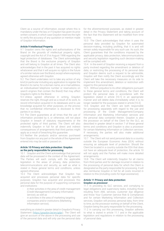Client as a source of information, except where this is mandatory under the law, or if Graydon has given its prior written consent, in which case Graydon reserves the right to verify the accuracy of any quotation or mention made of Graydon Information.

# **Article 9 Intellectual Property**

9.1 Graydon owns the rights and authorisations of the Brand on the grounds of intellectual property rights, copyright and the Act of 31st August 1998 regarding the legal protection of databases. The Client acknowledges that the Brand is the exclusive property of Graydon and will belong to Graydon at all times. The Client also acknowledges that in the past it has acquired no rights whatsoever and that it will acquire no rights in the future of a similar nature over the Brand, except where expressly agreed otherwise with Graydon.

9.2 The Client undertakes not to take any action of any kind (in particular including any application to register the Brand in its name, for a domain name, an e-mail address, an individualised telephone number or reservations on search engines that contain the Brand) that may affect Graydon's rights to the Brand.

9.3 Unless agreed otherwise in writing, Graydon reserves the right, through and as a result of its work, to record information acquired in its databases and to use knowledge acquired for other purposes, on the proviso that no confidential information is disclosed to third parties in so doing.

9.4 The Client guarantees at all times that the use of information provided by it, or otherwise, will not place Graydon in breach of statutory requirements or the protected rights of third parties. The Client will also indemnify Graydon in full for all direct and indirect consequences of arrangements that third parties might apply as a result of breaching this guarantee.

9.5 Neither the products and/or services purchased from Graydon nor any part or the whole of the Agreement entered into may be sold or passed on.

# **Article 10 Privacy and data protection: Graydon as the party responsible for processing**

10.1 Graydon and the Client acknowledge that personal data will be processed in the context of the Agreement. The Parties will each comply with the applicable legislation in the areas of privacy, data protection, telecommunications and security, as well as what is stated in these general terms and conditions, unless agreed otherwise.

10.2 The Client acknowledges that Graydon has acquired and processes personal data for specific purposes. Graydon has acquired and processes this personal data for the purpose of supporting companies and institutions:

- in their activities in the area of credit management (Credit Management/Company Information service); as well as
- in activities in the area of marketing targeting companies and/or institutions (Marketing Information service);

everything as stated in greater detail in Graydon's Privacy Statement (https://graydon.be/en/gdpr). The Client will give an account of the above in the processing and use of the personal data and will only use the personal data for the aforementioned purposes, as stated in greater detail in the Privacy Statement and taking account of the fact that this Statement will be modified from time to time.

10.3 The Client acknowledges that when it uses the personal data provided by Graydon for automated decision-making, including profiling, that it is and will remain solely responsible for any such use. As such, the Client guarantees that the conditions imposed by the applicable privacy, data protection, telecommunications and security legislation regarding such decision-making will be complied with.

10.4 In the event of Graydon receiving a request from a party involved regarding the amendment or deletion of data, or restricting the processing of its personal data and Graydon deems such a request to be admissible, Graydon will then notify the Client accordingly and the Client will take the necessary measures on its side to implement this amendment, deletion or restriction with regard to this personal data.

10.5 Without prejudice to its other obligations pursuant to these general terms and conditions, the Client will protect the personal data in accordance with the legislation stated in article [10.1] in an appropriate manner and will delete data immediately when it is no longer needed for the purposes stated in article [10.2].

10.6 Graydon and the Client are both responsible for processing separately with regard to the use and processing of the Credit Management/Company Information and Marketing Information services and the personal data contained therein. Graydon is also the processor on behalf of the Client for the GLC, as described in greater detail in section 7 of these general terms and conditions and Graydon is also a processor for certain Marketing Information or Collection services. If necessary, the parties will also make additional arrangements.

10.7 The Client will not send personal data to a country outside the European Economic Area (EEA) without ensuring an adequate level of protection. Should the Client be located in a country outside the EEA that does not have an adequate level of protection, the article 10 will not apply and the Parties will make more detailed arrangements.

10.8 The Client will indemnify Graydon for all claims from third parties and for damage incurred in relation to the processing of personal data for which the Client is designated as the party responsible for processing. It will also reimburse Graydon in full for all costs incurred in relation to this (including costs for legal assistance).

# **Article 11 Privacy and data protection: Graydon as processor**

11.1 In providing its GLC services, and complying to legal obligations and supervisory tasks, including those resulting from AML services, customer due diligence and Know Your Customer (service Risk & Compliance) and for certain Marketing Information and Collection services, Graydon will process personal data, from time to time, as the processor working on behalf of the Client, Graydon being the party responsible for the processing. 11.2 In carrying out this processing, Graydon adheres to what is stated in article 11.1 and in the applicable legislation and regulations in relation to the processing of personal data.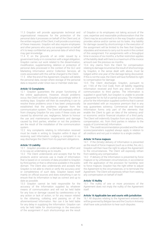11.3 Graydon will provide appropriate technical and organisational measures for the protection of the personal data it processes on behalf of the Client and, at the written request of the Client, it will provide a summary of these measures. Graydon will also require employees and other persons who carry out assignments on behalf of it to keep confidential any personal data of which they may gain knowledge.

11.4 If, on the grounds of an order issued by a government body or in connection with a legal obligation, Graydon carries out work related to the dissemination, modification, supplementing, deletion or protection of personal data processed in the context of the GLC and Marketing Information and/or Collection Services, all costs associated with this will be charged to the Client.

11.5 After the end of the Agreement, Graydon will delete the personal data, except where storage of the personal data is required under Union law or member state law.

#### **Article 12 Complaints**

12.1 Graydon guarantees the proper functioning of the online applications. However, should problems occur, the Client will notify Graydon accordingly within 8 working days. Graydon will then do everything it can to resolve these problems once it has been unequivocally established that the problems originate from the communication system. The Client will expressly refrain from charging Graydon for any costs if these costs are caused by abnormal use, negligence, failure to honour the use and maintenance requirements and damage caused by third parties, whether or not the problems are the result of the installation of the communication system.

12.2 Any complaints relating to Information received must be made in writing to Graydon within 8 days of receiving said Information. Lodging a complaint in no way discharges the Client from its payment obligations.

#### **Article 13 Liability**

13.1 Graydon provides an undertaking as to effort and in no way an undertaking as to results.

13.2 The Client understands and accepts that for the products and/or services use is made of Information that is based on or consists of data provided to Graydon by third parties or that is otherwise available in the public domain. The Client also understands and accepts that Graydon is not able to check or verify the accuracy and/ or completeness of such data. Graydon bases itself mainly on official sources and does everything it can to ensure that its Information is kept as correct and up to date as possible.

13.3 Graydon cannot be held responsible for the accuracy of the Information supplied by whatever means of communication and will not be held liable for any loss or damage caused by carelessness or by any action or lack of action, or for any reason related to the obtaining, collating and passing on of the aforementioned Information. Nor can it be held liable for any delay in supplying the Information. Graydon can only be held liable for shortcomings in the execution of the assignment if such shortcomings are the result

of Graydon or its employees not taking account of the care, expertise and reasonable professionalism that the Client may be accustomed to in the way Graydon usually provides advice and/or carries out its tasks. Any liability for damage caused by shortcomings in the execution of the assignment will be limited to the fees that Graydon stipulates and receives to carry out its work in the context of this assignment. For assignments with a throughput time in excess of six months, a further restriction applies of the liability dealt with here to a maximum of the invoice amount over the previous six months.

13.4 Any claims from the Client for compensation relating to damage incurred as the result of shortcomings by Graydon, in the sense dealt with above, must be lodged within one year of the damage being discovered. If this is not the case, the Client will have forfeited its right to compensation for damage.

13.5 The Client discharges Graydon, pursuant to art. 1165 of the Civil Code, from all liability regarding Information received and from any direct or indirect communication to third parties. The Information is supplied in good faith, but Graydon is unable to provide a guarantee for its full or partial accuracy. The moderate price for the Information supplied confirms that it cannot be assimilated with an insurance premium that in any way guarantees solvency. Commercial and financial Information forms only part of the elements that enable the Client to gain an idea of the solvency and/ or economic and/or financial situation of a third party. The Client will indemnify Graydon from any such claims, compensation, etc. from third parties in relation to the supply of (commercial) Information.

13.6 The credit recommendation provided and the other scores/parameters supplied always apply in relation to all creditors and not just in relation to a single creditor.

#### **Article 14 Force majeure**

14.1 If the (timely) delivery of Information is prevented as the result of force majeure (such as a strike, fire, etc.), Graydon will then have the right to adjust the Agreement to the circumstances. The Client will expressly refrain from seeking any compensation.

14.2 If delivery of the Information is prevented by force majeure or by unforeseen circumstances, in accordance with the application of the provision for hardship next to force majeure, Graydon has the right either to adjust the Agreement to the circumstances, or to terminate the Agreement. The Client will expressly refrain from seeking any compensation on behalf of itself.

#### **Article 15 Nullity**

15.1 The nullity of one or more provisions of the Agreement does not imply the nullity of the Agreement itself.

#### **Article 16 Applicable law and courts with jurisdiction**

16.1 All disputes relating to the Agreement entered into will be governed by Belgian law and the Courts in Antwerp shall have sole jurisdiction to hear such disputes.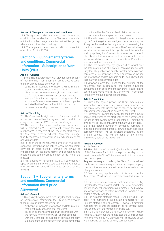# **Article 17 Changes to the terms and conditions**

17.1 Changes and additions to these general terms and conditions become binding on the Client one month after notification of the change or addition to the Client, except where stated otherwise in writing.

17.2 These general terms and conditions come into effect from 1st April 2018.

# **Section 2 – Supplementary terms and conditions: Commercial Information - Subscription to Work Units (WUs**

# **Article 1 General**

1.1 By signing the Agreement with Graydon for the supply of (commercial) Information, the Client gives Graydon the task, unless stated otherwise, of:

- gathering all available Information and Information that is officially accessible for the Client
- giving an economic evaluation, in accordance with the formula known to the Client and/or designed with the Client, for the purpose of being able to form a picture of the economic solvency of the companies indicated by the Client with which it maintains a business relationship or wishes to do so.

# **Article 2 Invoicing**

2.1 The Client has the right to call on Graydon's products and/or services within the agreed period and to be charged the number of WUs defined for doing so.

2.2 The prices of the various products and/or services will be defined per WU. Graydon will invoice the total number of WUs reserved at the time of the start date of the Agreement. If the period of the Agreement is longer than 12 months, an invoice will be issued annually on the anniversary date.

2.3 In the event of the reserved number of WUs being exceeded, Graydon has the right to renew the Agreement early for an equal period. Renewals will always be implemented on the same terms and conditions and provisions and at the charges in effect at the time of the renewal.

2.4 Any unused or remaining WUs will automatically lapse when the anniversary date expires and will not be refunded to Client. Unused Work Units cannot be carried forward.

# **Section 3 – Supplementary terms and conditions: Commercial Information fixed-price Agreement**

# **Article 1 General**

1.1 By signing the Agreement with Graydon for the supply of (commercial) Information, the Client gives Graydon the task, unless stated otherwise, of:

- gathering all available Information and Information that is officially accessible for the Client
- giving an economic evaluation, in accordance with the formula known to the Client and/or designed with the Client, for the purpose of being able to form a picture of the economic solvency of the companies

indicated by the Client with which it maintains a business relationship or wishes to do so.

1.2 The Information provided by Graydon may be used by the Client to gather knowledge about a company, but it may not be used as the only source for assessing the creditworthiness of that company. The Client will always form its own assessment through its own interpretation and by applying the Commercial Information received. The Client will also always itself be responsible for its recommendations, forecasts, comments and/or actions arising from this assessment.

1.3 The intellectual property rights and copyright over the Information and the data it contains reside with Graydon. The publication, supply, transfer, dissemination, commercial use, licensing, hire, sale or otherwise making the Information or data available, or its use on behalf of a third party is expressly forbidden.

1.4 Graydon grants the Client for the duration of the Agreement and in return for the agreed advanced payments a non-exclusive and non-transferable right to use the data contained in the Commercial Information for its own internal business-related use.

# **Article 2 Invoicing**

2.1 Within the agreed period, the Client may request Information from various Belgian company numbers. On the anniversary date, unless agreed otherwise, the list of company numbers must be purged by the Client.

2.2 Graydon will invoice the Client for the fixed amount agreed at the time of the start date of the Agreement. If the period of the Agreement is longer than 12 months, an invoice will be issued annually on the anniversary date.

2.3 If the agreed number of company numbers is exceeded and unless agreed otherwise, each additional company number will be invoiced separately at the amount agreed. This will be done on the annual anniversary date of the Agreement.

# **Article 3 Fair Use**

3.1. Definitions

**Fair Use:** Fair Use (of the service) is limited to a maximum of 200 Requests for individual reports per day, with a maximum total of 50,000 Requests for individual reports per contract year.

**Request:** any request made by the Client. For the sake of clarity: more than one request about a single company counts not as just one request, but as the actual number of requests made.

3.2 Fair Use only applies where it is stated in the Agreement. Monitoring is expressly excluded from Fair Use.

3.3 The use of and access to Fair Use is limited to 'My Graydon' (the manual client portal). The use of automated scripts or any other programming method used to have interaction with and to obtain information from this client portal is strictly forbidden.

3.4 The numbers stated in article 3.1, to define Fair Use, apply if no numbers or no deviating numbers for Fair Use are stated in the Agreement. However, if deviating numbers for Fair Use are stated in the Agreement, these take priority over the numbers in article 3.1.

3.5 If the Client exceeds the Fair Use numbers or is likely to do so, Graydon has the right to stop the Client's access to the service and to My Graydon, with immediate effect, without being obliged to pay any compensation.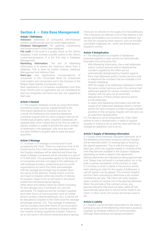# **Section 4 – Data Base Management**

# **Article 1 Definitions**

**Adresses:** Addresses of companies, self-employed workers, professionals and non-profit organisations.

**Database Management:** The updating, maintenance and enhancement of the Client database.

**File audit:** A File Audit is a quality check on the Client's database. It also involves a profile outline of the Client's customers/prospects. It is the first step in Database Management

**Marketing Information:** The aim of Marketing Information is to extract the maximum return from a database. This is done by market analysis, Database Management and Address Files.

**Start-ups:** new registrations (incorporations) of companies in the Crossroads Bank for Enterprises (sole traders and companies) and in the Annexes to the Belgian State Gazette (companies only).

New registrations of companies established more than three months prior to registration are not considered as start-up companies and hence are also not supplied as Start-ups.

# **Article 2 General**

2.1 The Graydon database is built up using Information provided by public sources, supplemented by the Information gathered by Graydon's services. As a result, the Addresses and matching databases constitute original work for which Graydon reserves all (intellectual) property rights. Graydon's databases are updated daily, which means that at the time an order is placed, Graydon is unable to provide the exact number of addresses in the database. Only once the order has been fulfilled is Graydon able to state the exact quantities.

#### **Article 3 Wastage**

3.1 A certain % of wastage is normal and is to be accepted by the Client. There is a maximum limit of 4%. Postal returns from mail-outs using Addresses from the Graydon database will be selected and those that relate to Belgian companies will be refunded at a rate of 0.15 EUR each. This guarantee applies to the Addresses of companies and does not apply to the addresses of self-employed workers, professional and non-profit organisations for which the Client acknowledges that the wastage percentage may be greater given the nature of the selection. Postal returns must be sent back to Graydon within two months of delivery by Graydon. Failure to do so will result in the refund entitlement mentioned above lapsing. Other direct and indirect claims by Clients (including for lost carriage, loss of printwork, etc.) are not admissible. For telephone and fax numbers supplied (and other forms of communication such as mobile phone numbers, Internet addresses, etc.), a refund will be allocated by Graydon to the Client once the wastage percentage reaches 12%. This wastage of telephone and fax numbers (and other forms of communication as stated above) must be reported to Graydon within two months of being supplied by Graydon. Failure to do so will result in the refund mentioned above lapsing.

There are no refunds for the supply of e-mail addresses. This is because non-delivery to an e-mail address is not always attributable to an incorrect e-mail address, but can also be caused by other reasons, such as firewalls, unemptied mailboxes, etc., which are entirely beyond Graydon's control.

# **Article 4 Deduplication**

4.1 The deduplication by Graydon of databases received/supplied is never carried out automatically. Examples (non-exhaustive list):

- With Marketing Information, the e-mail addresses and/or contact persons and/or telephone/fax numbers supplied by the Client are not automatically deduplicated by Graydon against the e-mail addresses and/or contact persons and/ or telephone/fax numbers that are available in the Graydon database;
- With the supply of an Addresses database in which the same contact persons and/or the same e-mail addresses appear for various company numbers, Graydon will not carry out an automatic deduplication of these contact persons and/or e-mail addresses;
- In cases with Marketing Information and with the supply of an Addresses database where a contact person for each company number occupies several positions in the company, Graydon will not carry out an automatic deduplication.

4.2 The above is not an exhaustive list. If the Client wishes to have a deduplication, it needs to request Graydon in writing to do so and the Client will then be charged an additional cost to do so.

# **Article 5 Supply of Marketing Information**

5.1 Except where expressly stipulated otherwise, all of the Marketing Information products sold by Graydon will be delivered within 10 working days of receiving the signed Agreement. This is with the exception of Start-ups, which are supplied weekly or monthly at the time they become available in the Graydon database, depending on what is stated in the Agreement. Delivery lead-times are indicated as being approximate only. Delays may not result in compensation, nor in the total or partial cancellation of the contract or order. 5.2 Contrary to what is stated in the previous article, when placing an order for the supply of Addresses, a call-off system can be agreed. This involves Graydon and the Client consulting to determine a set number of deliveries per year. The Client will notify Graydon when it wishes to receive one of the planned deliveries. When the end date of the contract arrives, any planned deliveries that have not been called off will automatically lapse and no refund will be made to the Client. In other words, the invoice will remain owed in  $f_{11}$ 

#### **Article 6 Liability**

6.1 Graydon cannot be held responsible for the total or partial accuracy of the Marketing Information products supplied, by whatever method of communication, although these products are always provided in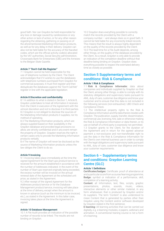good faith. Nor can Graydon be held responsible for any loss or damage caused by carelessness or any other action or lack of action, or for any other reason regarding the obtaining, gathering or passing on of the aforementioned Marketing Information products, as well as for any delay in their delivery. Graydon can also not be held liable for the accuracy of the Nacebel codes, which are the official activity code(s) allocated by the VAT authorities, Social Security administration, Crossroads Bank for Enterprises (CBE) and the Annexes to the Belgian State Gazette.

# **Article 7 "Don't-Call-Me Register"**

7.1 Graydon cannot be held responsible for the use of telephone numbers by the Client. The Client acknowledges that if it wishes to use the databases with telephone numbers purchased from Graydon for commercial purposes, it must first register and then deduplicate the databases against the "Don't-Call-Me" register in line with the applicable legislation.

# **Article 8 Discretion and confidentiality**

8.1 In addition to what is stated in Section 1, Article 8, Graydon undertakes to treat all Information it receives from the Client in execution of the Agreement with the utmost discretion and not to disclose it to third parties. 8.2 Graydon is not obliged to disclose the sources of the Marketing Information products it supplies, nor its method of operating.

8.3 The Marketing Information products, which are always supplied based on their availability in the Graydon database and provided legal provisions so allow, are strictly confidential and in any event remain the property of Graydon. Graydon reserves the right in certain cases only to provide the Marketing Information products verbally.

8.4 The name of Graydon will never be disclosed as the source of Marketing Information products unless the law obliges the Client to do so.

# **Article 9 Invoicing**

9.1 Invoicing takes place immediately at the time the signed Agreement for the Start-ups product/service is received for the amount established in accordance with the number of Addresses indicated. In the event of the number of Start-ups reserved originally being exceeded, the excess number will be invoiced on the annual renewal date of the Agreement at the scheduled unit price, as stated in the Agreement.

9.2 After receipt of the signed Agreement for the Addresses product/service or for the Database Management product/service, invoicing will take place at the time of delivery, except when the amount is known in advance (such as the minimum to be invoiced, etc.), as stated in the Agreement. In this latter case, invoicing takes place at the time the Agreement is signed.

# **Article 10 Database Management**

10.1 A File Audit provides an indication of the possible number of records to be linked. The results are not binding on Graydon.

10.2 Graydon does everything possible to correctly match the records provided by the Client with a company number – and always does so in good faith. It cannot be held liable for any incorrectly linked records. This means that the result is always highly dependent on the quality of the records provided by the Client. 10.3 The lead-time for a File Audit depends, among other things, on the quality of the database provided by the Client. As a result, Graydon is only able to provide an indication of the completion deadline without that deadline being binding on Graydon. Graydon does everything possible to respect the estimated delivery time as closely as possible.

# **Section 5 Supplementary terms and conditions: Risk & Compliance**

# **Article 1 Risk & Compliance**

1.1 **Risk & Compliance Informatie:** data about companies and individuals supplied by Graydon so that the Client, among other things, is able to comply with its statutory obligations and supervisory tasks pursuant to AML, duty of care, customer due diligence and know your customer and to ensure that this data is not included in the following services (non-exhaustive): UBO Check and Compliance Check.

1.2 The intellectual property rights to the Risk & Compliance Information and the data therein resides with Graydon. The publication, supply, transfer, dissemination, commercial use, licensing, hire, sale or otherwise making the Risk & Compliance Information or data therein, or its use on behalf of a third party is expressly not permitted. 1.3 Graydon grants to the Client, for the duration of the Agreement and in return for the agreed advance payment a non-exclusive and non-transferable right to use the data in the Risk & Compliance Information for the Client's own internal business use in order to comply with the legal obligations and supervisory tasks pursuant to AML, duty of care, customer due diligence and know your customer requirements.

# **Section 6 – Supplementary terms and conditions: Graydon Learning Centre (GLC)**

# **Article 1 Definitions**

**Certificates/badges:** Certificate: proof of attendance at and a particular score from a course/learning programme; **Badge:** symbol or indication of a performance, skill, completion of a learning activity;

**Content:** all Information, text, files, scripts, graphic presentations, photos, sounds, music, videos, interactive elements or other similar material, in any form whatsoever, that is produced by Graydon and/or its suppliers. The term 'Content' is also understood to mean Content that is generated by parties other than Graydon using the Content and/or software developed by Graydon stated in the first sentence;

**E-learning:** All learning activities that can be carried out digitally, e.g. e-learning modules, e-papers, webinars and animation. A conventional training course is not a form of e-learning;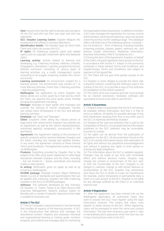**User:** Anyone who has the right to access and use (parts of) the GLC and who has their own login and who has registered;

**GLC: Graydon Learning Centre:** Graydon Belgium NV, located and with offices in Antwerp (Berchem);

**Identification details:** The Graydon login by which both Client and Users can access the GLC;

**IP rights:** All intellectual property rights and related rights, such as copyright, trademark rights and database rights;

**Learning activity:** Activity related to learning and developing, e.g. e-learning modules, webinars, e-books, infographics, animations; Learning programme/course: Defined curriculum consisting of various types of learning activities, e.g. a credit management course consisting of an e-paper, e-learning module, film, forum and survey;

**Learning environment:** An environment created for a learning activity. The environment may consist of 1 or more learning activities (more than 3 learning activities = learning programme);

**Mailtoagree:** the application by which Graydon (via Sales) sends out a price quote by e-mail and by which the Client can approve this price quote online, thereby bringing the Agreement into being;

**Manager:** Manager or team leader who manages and controls the learning of his/her employees. He/she can create Users (Employees) in the GLC and allocate learning activities;

**Employee:** see "User" and "Manager";

**Client:** Graydon's client, being any natural person or legal entity with whom/which Graydon has entered into an Agreement, as well as the client's representative(s), authorised agent(s), assignee(s), successor(s) in title and heir(s);

**Agreement:** Any Agreement relating to the provision of specific products and/or services between Graydon and the Client, including any change and addition thereto. In any event, the Agreement consists of these General Terms and Conditions. The Agreement comes into being via Mailtoagree;

**Products:** Everything provided by Graydon that is the subject of an offer, price quote, Agreement or other legal transaction between Graydon and the Client, including

– but not limited to – books, periodicals and physical media or data-carriers; **In writing:** Notification given on paper as well as by

e-mail (e.g. Mailtoagree);

**SCORM package:** Sharable Content Object Reference Model is a set of standards and specifications that can be applied with e-learning. Graydon will offer e-learning modules in the form of SCORM packages;

**Software:** The software developed by (the licensors of) Graydon, i.e. Totara. Totara is an Open Source LMS (Learning Management System) product based on Moodle with a number of specific extensions that make it suitable for business use.

# **Article 2 The GLC**

2.1 The GLC (Graydon Learning Centre) is the framework that handles all aspects of the learning process. A GLC is the infrastructure that delivers and manages the educational content, inspects and assesses individual and organisational learning or training goals, monitors progress, and collects and manages data for monitoring

the organisation's learning process. In addition to content, a GLC also manages the registration for courses, course administration, tracking and reporting. Users can access a learning activity via the catalogue page. The catalogue offers unlimited use of the following options: including – but not limited to – form of learning, including modules, e-learning modules, classes, papers, webinars, etc., and themes (Credit Information, Marketing Information, Business Information, Risk & Compliance, etc.)

2.2 During the term of the Agreement, Graydon, on behalf of the Client, will grant registered Users access to the GLC in accordance with Article 4.1 subject to the provisions contained in these General Terms and Conditions, and Supplementary Terms and Conditions, and subject to payment of the agreed fee.

2.3 The Client will not give third parties access to the GLC.

2.4 Graydon is never obliged to provide the Client with a physical medium containing the Software used in the context of the GLC, or to provide a copy of this Software for installation on the Client's systems.

2.5 The Client, at its own expense and risk, must arrange for an Internet connection, hardware, software and associated licences to be able to use the GLC.

#### **Article 3 Guarantees**

3.1 Graydon does not guarantee that the GLC will always be available without interruption, and that it is free of errors or defects. All liability for possible damage of any kind whatsoever resulting from this or any other use of the GLC, is expressly declined by Graydon.

3.2 Despite all the care and attention that is paid to the composition of the GLC, it is possible that the information published on the GLC (website) may be incomplete, incorrect or unclear.

3.3 No rights can be derived from the publication of regulations on the GLC. All documentation found on the GLC is of a purely informative nature, with reservation of all rights and without any prejudicial acknowledgement and without it granting any rights to third parties or waiving any legal obligations.

3.4 The information about the GLC is updated regularly. Changes may be made at any time with immediate effect and without advance notice. Graydon may change the content or environment of the GLC and/ or limit the functionality of the GLC. Graydon is not obliged to maintain, change or add certain features or functionalities of the GLC. Graydon may temporarily shut down the GLC in whole or in part, for maintenance for example, and/or temporarily or permanently deny a Client or a user access to the GLC. Graydon is not liable for any damage suffered by the Client or an individual Internal User.

#### **Article 4 Registration**

4.1 After the Agreement has been entered into via the Mailtoagree application, all authorised Users who want to access the GLC must register using the login information received. This means that Users must register to obtain access to the GLC. When registering, Users will be prompted to enter the name and contact information. The User then receives a user name (= User e-mail address) and a password, which the User can use to log in during future visits to the GLC.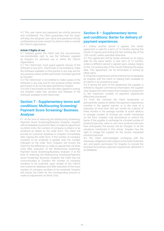4.2 This user name and password are strictly personal and confidential. The Client guarantees that the Users will keep the assigned user name and password strictly confidential and never reveal it to others inside or outside the Client's organisation.

# **Article 5 Rights of use**

5.1 Graydon grants the Client only the non-exclusive, non-transferable right to use the Software supplied by Graydon for personal use or within the Client's organisation.

5.2 The Client/User must guard against misuse of the Software in any form. Client/User is not entitled to make the Software available to third parties in any way and for any purpose unless written permission has been granted by Graydon.

5.3 The Client/User is not entitled to make copies of the Software in any way and for any purpose unless written permission to do so has been granted by Graydon.

5.4 Only if and insofar as this has been agreed in writing, will Graydon make new versions and releases of the Software available to the Client/User.

# **Section 7 - Supplementary terms and conditions: Multiscoring Screening/ Payment Score Screening/ Business Analyser**

8.1 At the time of reserving the Multiscoring Screening/ Payment Score Screening/Business Analyser, Graydon will immediately invoice the Client, or make an adjustment via Work Units, the number of company numbers to be screened as stated on the order form. The Client will provide its customer database to Graydon immediately after signing the order form. If the number of company numbers to be screened is greater than the number indicated on the order form, Graydon will invoice the Client for the difference or make an adjustment via Work Units after execution of the Multiscoring Screening/ Payment Score Screening/Business Analyser. If at the time of reserving the Multiscoring Screening/Payment Score Screening/ Business Analyser the Client has not communicated to Graydon the number of company numbers to be screened, upon receipt of the Client's own customer database and after execution of the exact number of company numbers to be screened, Graydon will invoice the Client for the corresponding amount or make an adjustment via Work Units.

# **Section 8 – Supplementary terms and conditions: Barter for delivery of payment experiences**

9.1 Unless another period is agreed, this barter agreement is valid for a term of 12 months starting the month of signing and ending the last working day of the 12th month, unless specified otherwise.

9.2 This agreement will be tacitly renewed on its expiry date for the same barter. A new term of 12 months, unless a different period is agreed upon, always begins on the 1st working day of the month following the expiry date. This agreement can be terminated in writing by either party.

9.3 Payment experiences will be entered into its database by Graydon with the intent of making them available to its clients in an anonymous pool.

9.4 If during the term of the Agreement the supplier is entitled to request commercial information, the supplier may request this information from Graydon in proportion to the maximum number of payment experiences effectively processed.

9.5 From the moment the Client temporarily or permanently ceases to deliver the payment experiences monthly in the agreed manner, or in the case of a reduction of more than 30% per month for a period of three months in the average number of active debtors or average number of invoices per month mentioned on the front, Graydon may discontinue or restrict the barter. If the supplier, in exchange for a limited number of products/services, were to use more products/services than anticipated, the excess will be charged. In all the situations mentioned in this article, Graydon has the right to charge the supplier for the excess requested products/services.

9.6 The Client acknowledges complying with the necessary obligations with respect to the Data Protection Act, and grants permission for Graydon to include the business-to-business payment experiences delivered in its database.